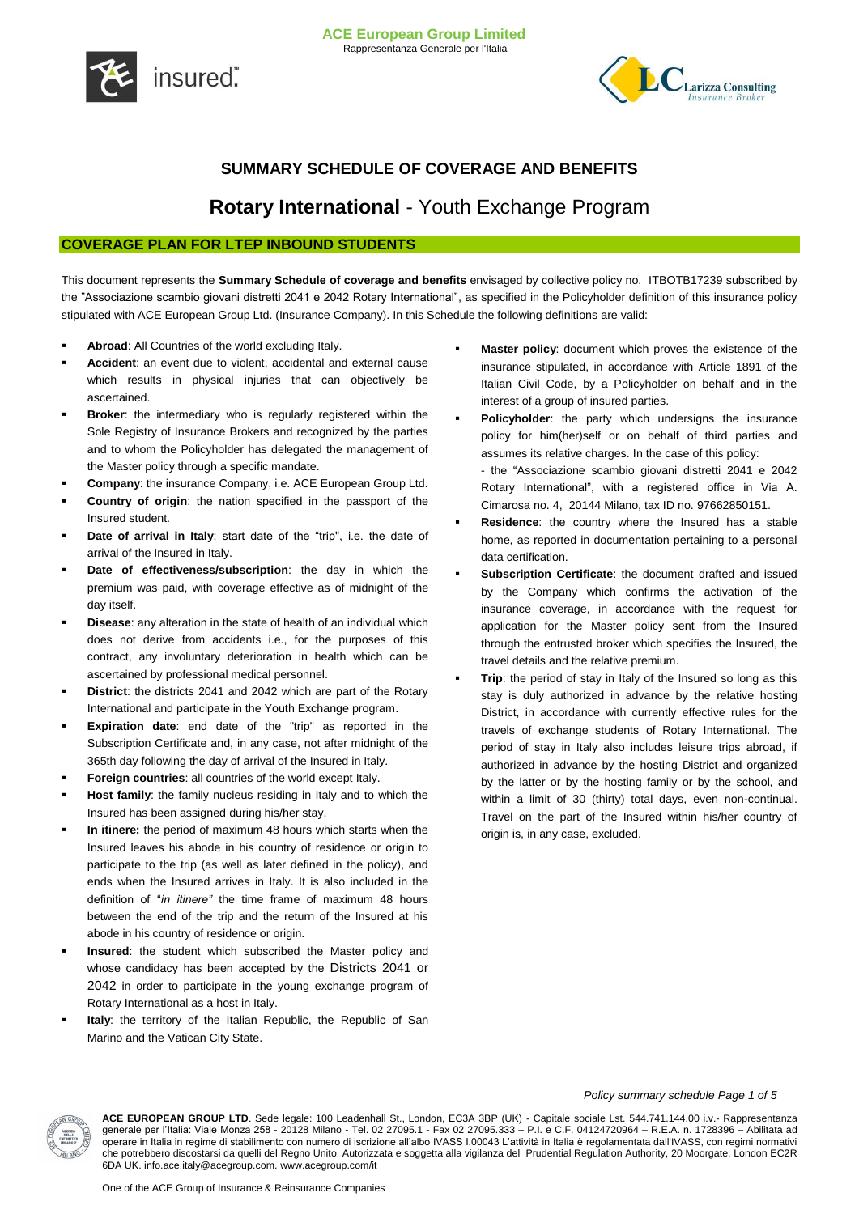



# **SUMMARY SCHEDULE OF COVERAGE AND BENEFITS**

# **Rotary International** - Youth Exchange Program

## **COVERAGE PLAN FOR LTEP INBOUND STUDENTS**

This document represents the **Summary Schedule of coverage and benefits** envisaged by collective policy no. ITBOTB17239 subscribed by the "Associazione scambio giovani distretti 2041 e 2042 Rotary International", as specified in the Policyholder definition of this insurance policy stipulated with ACE European Group Ltd. (Insurance Company). In this Schedule the following definitions are valid:

- **Abroad**: All Countries of the world excluding Italy.
- **Accident**: an event due to violent, accidental and external cause which results in physical injuries that can objectively be ascertained.
- **Broker**: the intermediary who is regularly registered within the Sole Registry of Insurance Brokers and recognized by the parties and to whom the Policyholder has delegated the management of the Master policy through a specific mandate.
- **Company**: the insurance Company, i.e. ACE European Group Ltd.
- **Country of origin**: the nation specified in the passport of the Insured student.
- **Date of arrival in Italy**: start date of the "trip", i.e. the date of arrival of the Insured in Italy.
- **Date of effectiveness/subscription**: the day in which the premium was paid, with coverage effective as of midnight of the day itself.
- **Disease**: any alteration in the state of health of an individual which does not derive from accidents i.e., for the purposes of this contract, any involuntary deterioration in health which can be ascertained by professional medical personnel.
- **District**: the districts 2041 and 2042 which are part of the Rotary International and participate in the Youth Exchange program.
- **Expiration date**: end date of the "trip" as reported in the Subscription Certificate and, in any case, not after midnight of the 365th day following the day of arrival of the Insured in Italy.
- **Foreign countries**: all countries of the world except Italy.
- **Host family**: the family nucleus residing in Italy and to which the Insured has been assigned during his/her stay.
- **In itinere:** the period of maximum 48 hours which starts when the Insured leaves his abode in his country of residence or origin to participate to the trip (as well as later defined in the policy), and ends when the Insured arrives in Italy. It is also included in the definition of "*in itinere"* the time frame of maximum 48 hours between the end of the trip and the return of the Insured at his abode in his country of residence or origin.
- **Insured**: the student which subscribed the Master policy and whose candidacy has been accepted by the Districts 2041 or 2042 in order to participate in the young exchange program of Rotary International as a host in Italy.
- **Italy**: the territory of the Italian Republic, the Republic of San Marino and the Vatican City State.
- **Master policy**: document which proves the existence of the insurance stipulated, in accordance with Article 1891 of the Italian Civil Code, by a Policyholder on behalf and in the interest of a group of insured parties.
- **Policyholder**: the party which undersigns the insurance policy for him(her)self or on behalf of third parties and assumes its relative charges. In the case of this policy: - the "Associazione scambio giovani distretti 2041 e 2042 Rotary International", with a registered office in Via A. Cimarosa no. 4, 20144 Milano, tax ID no. 97662850151.
- **Residence**: the country where the Insured has a stable home, as reported in documentation pertaining to a personal data certification.
- **Subscription Certificate**: the document drafted and issued by the Company which confirms the activation of the insurance coverage, in accordance with the request for application for the Master policy sent from the Insured through the entrusted broker which specifies the Insured, the travel details and the relative premium.
- **Trip**: the period of stay in Italy of the Insured so long as this stay is duly authorized in advance by the relative hosting District, in accordance with currently effective rules for the travels of exchange students of Rotary International. The period of stay in Italy also includes leisure trips abroad, if authorized in advance by the hosting District and organized by the latter or by the hosting family or by the school, and within a limit of 30 (thirty) total days, even non-continual. Travel on the part of the Insured within his/her country of origin is, in any case, excluded.



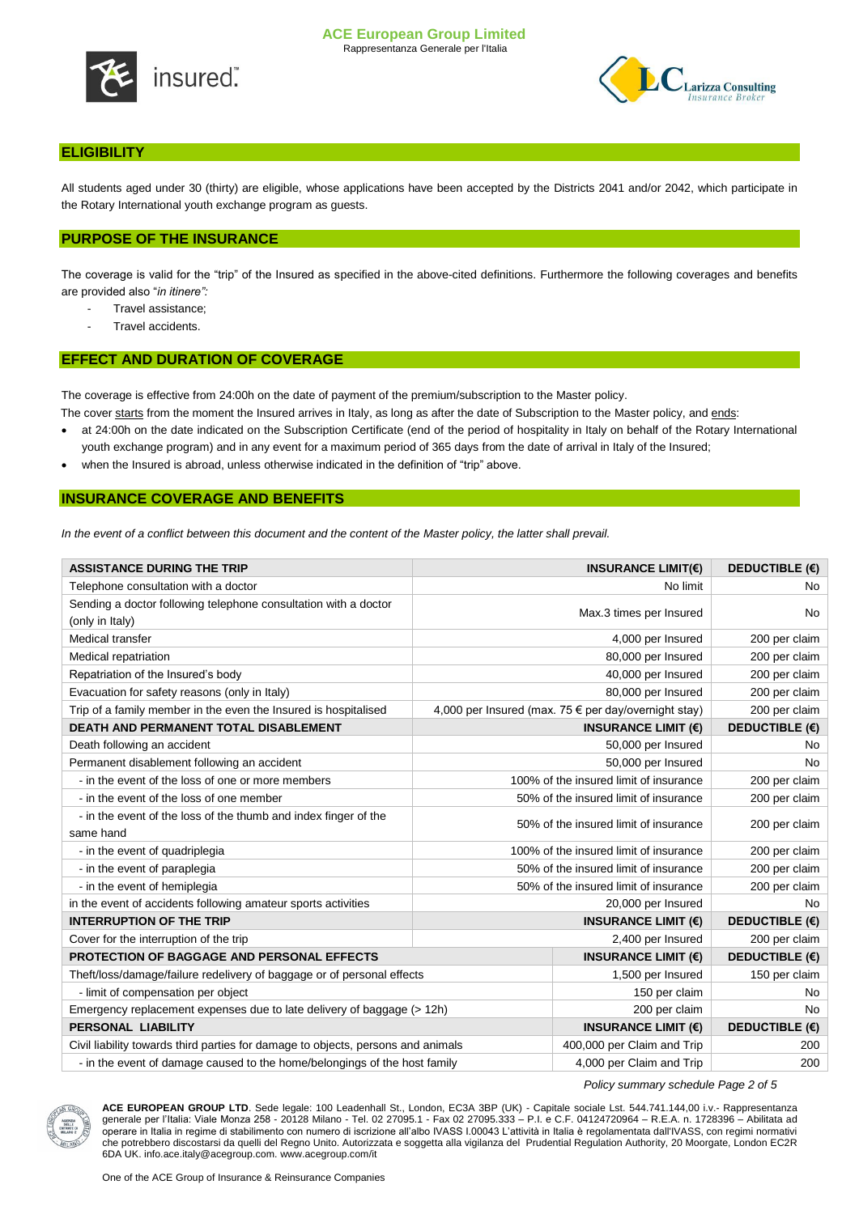



## **ELIGIBILITY**

All students aged under 30 (thirty) are eligible, whose applications have been accepted by the Districts 2041 and/or 2042, which participate in the Rotary International youth exchange program as guests.

## **PURPOSE OF THE INSURANCE**

The coverage is valid for the "trip" of the Insured as specified in the above-cited definitions. Furthermore the following coverages and benefits are provided also "*in itinere":*

- Travel assistance;
- Travel accidents.

## **EFFECT AND DURATION OF COVERAGE**

The coverage is effective from 24:00h on the date of payment of the premium/subscription to the Master policy.

- The cover starts from the moment the Insured arrives in Italy, as long as after the date of Subscription to the Master policy, and ends:
- at 24:00h on the date indicated on the Subscription Certificate (end of the period of hospitality in Italy on behalf of the Rotary International
- youth exchange program) and in any event for a maximum period of 365 days from the date of arrival in Italy of the Insured;
- when the Insured is abroad, unless otherwise indicated in the definition of "trip" above.

## **INSURANCE COVERAGE AND BENEFITS**

In the event of a conflict between this document and the content of the Master policy, the latter shall prevail.

| <b>ASSISTANCE DURING THE TRIP</b>                                                  |                                        | INSURANCE LIMIT( $\epsilon$ )                        | <b>DEDUCTIBLE (€)</b> |
|------------------------------------------------------------------------------------|----------------------------------------|------------------------------------------------------|-----------------------|
| Telephone consultation with a doctor                                               |                                        | No limit                                             | No.                   |
| Sending a doctor following telephone consultation with a doctor<br>(only in Italy) | Max.3 times per Insured                |                                                      | No                    |
| Medical transfer                                                                   |                                        | 4,000 per Insured                                    | 200 per claim         |
| Medical repatriation                                                               |                                        | 80,000 per Insured                                   | 200 per claim         |
| Repatriation of the Insured's body                                                 |                                        | 40,000 per Insured                                   | 200 per claim         |
| Evacuation for safety reasons (only in Italy)                                      |                                        | 80,000 per Insured                                   | 200 per claim         |
| Trip of a family member in the even the Insured is hospitalised                    |                                        | 4,000 per Insured (max. 75 € per day/overnight stay) | 200 per claim         |
| <b>DEATH AND PERMANENT TOTAL DISABLEMENT</b>                                       |                                        | INSURANCE LIMIT $(E)$                                | <b>DEDUCTIBLE (€)</b> |
| Death following an accident                                                        | 50,000 per Insured                     |                                                      | No.                   |
| Permanent disablement following an accident                                        | 50,000 per Insured                     |                                                      | <b>No</b>             |
| - in the event of the loss of one or more members                                  | 100% of the insured limit of insurance |                                                      | 200 per claim         |
| - in the event of the loss of one member                                           | 50% of the insured limit of insurance  |                                                      | 200 per claim         |
| - in the event of the loss of the thumb and index finger of the<br>same hand       | 50% of the insured limit of insurance  |                                                      | 200 per claim         |
| - in the event of quadriplegia                                                     | 100% of the insured limit of insurance |                                                      | 200 per claim         |
| - in the event of paraplegia                                                       | 50% of the insured limit of insurance  |                                                      | 200 per claim         |
| - in the event of hemiplegia                                                       | 50% of the insured limit of insurance  |                                                      | 200 per claim         |
| in the event of accidents following amateur sports activities                      | 20,000 per Insured                     |                                                      | <b>No</b>             |
| <b>INTERRUPTION OF THE TRIP</b>                                                    | INSURANCE LIMIT $(E)$                  |                                                      | <b>DEDUCTIBLE (€)</b> |
| Cover for the interruption of the trip                                             | 2,400 per Insured                      |                                                      | 200 per claim         |
| PROTECTION OF BAGGAGE AND PERSONAL EFFECTS                                         |                                        | INSURANCE LIMIT $(E)$                                | <b>DEDUCTIBLE (€)</b> |
| Theft/loss/damage/failure redelivery of baggage or of personal effects             |                                        | 1,500 per Insured                                    | 150 per claim         |
| - limit of compensation per object                                                 |                                        | 150 per claim                                        | No.                   |
| Emergency replacement expenses due to late delivery of baggage (> 12h)             |                                        | 200 per claim                                        | <b>No</b>             |
| PERSONAL LIABILITY                                                                 |                                        | <b>INSURANCE LIMIT (€)</b>                           | <b>DEDUCTIBLE (€)</b> |
| Civil liability towards third parties for damage to objects, persons and animals   |                                        | 400,000 per Claim and Trip                           | 200                   |
| - in the event of damage caused to the home/belongings of the host family          |                                        | 4,000 per Claim and Trip                             | 200                   |

*Policy summary schedule Page 2 of 5*

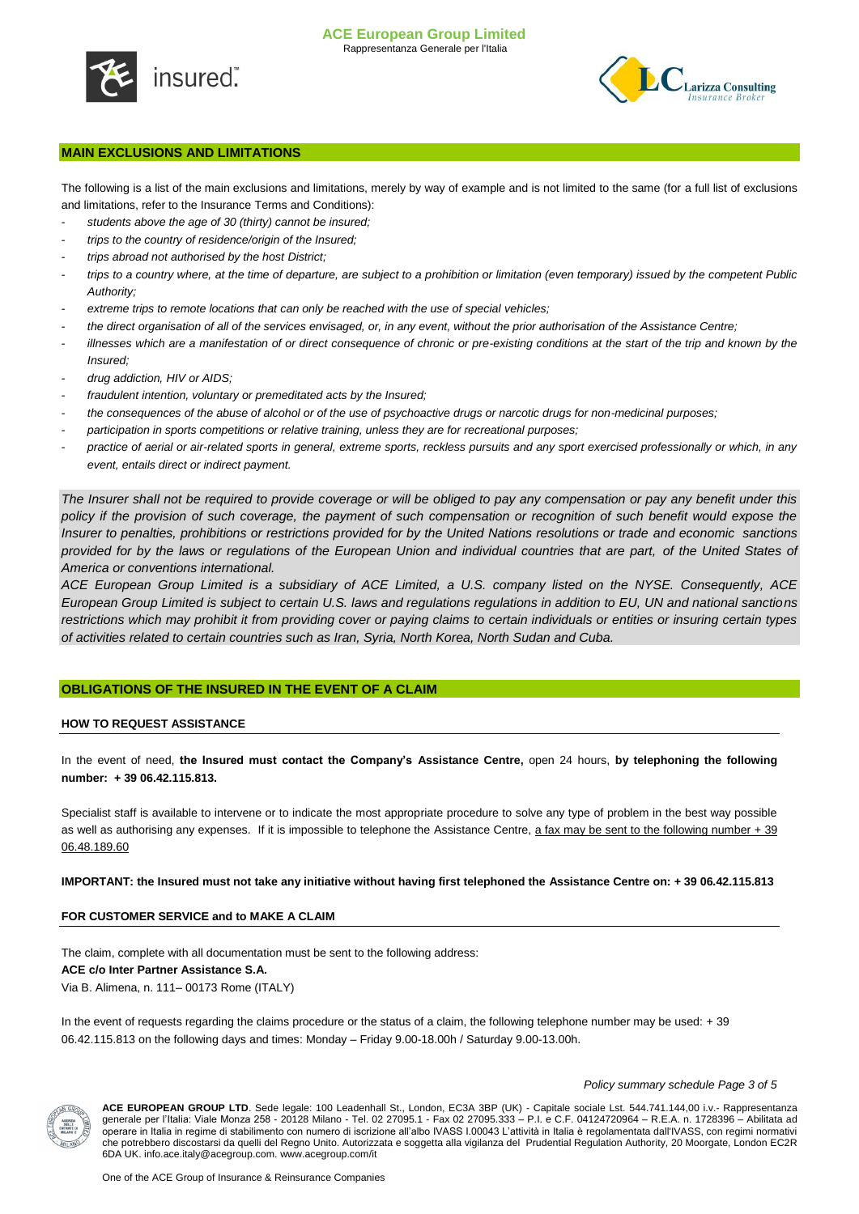



## **MAIN EXCLUSIONS AND LIMITATIONS**

The following is a list of the main exclusions and limitations, merely by way of example and is not limited to the same (for a full list of exclusions and limitations, refer to the Insurance Terms and Conditions):

- students above the age of 30 (thirty) cannot be insured;
- *trips to the country of residence/origin of the Insured;*
- *trips abroad not authorised by the host District;*
- *trips to a country where, at the time of departure, are subject to a prohibition or limitation (even temporary) issued by the competent Public Authority;*
- extreme trips to remote locations that can only be reached with the use of special vehicles;
- *the direct organisation of all of the services envisaged, or, in any event, without the prior authorisation of the Assistance Centre;*
- *illnesses which are a manifestation of or direct consequence of chronic or pre-existing conditions at the start of the trip and known by the Insured;*
- *drug addiction, HIV or AIDS;*
- fraudulent intention, voluntary or premeditated acts by the Insured;
- *the consequences of the abuse of alcohol or of the use of psychoactive drugs or narcotic drugs for non-medicinal purposes;*
- *participation in sports competitions or relative training, unless they are for recreational purposes;*
- practice of aerial or air-related sports in general, extreme sports, reckless pursuits and any sport exercised professionally or which, in any *event, entails direct or indirect payment.*

*The Insurer shall not be required to provide coverage or will be obliged to pay any compensation or pay any benefit under this policy if the provision of such coverage, the payment of such compensation or recognition of such benefit would expose the Insurer to penalties, prohibitions or restrictions provided for by the United Nations resolutions or trade and economic sanctions provided for by the laws or regulations of the European Union and individual countries that are part, of the United States of America or conventions international.*

*ACE European Group Limited is a subsidiary of ACE Limited, a U.S. company listed on the NYSE. Consequently, ACE European Group Limited is subject to certain U.S. laws and regulations regulations in addition to EU, UN and national sanctions restrictions which may prohibit it from providing cover or paying claims to certain individuals or entities or insuring certain types of activities related to certain countries such as Iran, Syria, North Korea, North Sudan and Cuba.*

## **OBLIGATIONS OF THE INSURED IN THE EVENT OF A CLAIM**

#### **HOW TO REQUEST ASSISTANCE**

In the event of need, **the Insured must contact the Company's Assistance Centre,** open 24 hours, **by telephoning the following number: + 39 06.42.115.813.**

Specialist staff is available to intervene or to indicate the most appropriate procedure to solve any type of problem in the best way possible as well as authorising any expenses. If it is impossible to telephone the Assistance Centre, a fax may be sent to the following number + 39 06.48.189.60

#### **IMPORTANT: the Insured must not take any initiative without having first telephoned the Assistance Centre on: + 39 06.42.115.813**

## **FOR CUSTOMER SERVICE and to MAKE A CLAIM**

The claim, complete with all documentation must be sent to the following address:

#### **ACE c/o Inter Partner Assistance S.A.**

Via B. Alimena, n. 111– 00173 Rome (ITALY)

In the event of requests regarding the claims procedure or the status of a claim, the following telephone number may be used: +39 06.42.115.813 on the following days and times: Monday – Friday 9.00-18.00h / Saturday 9.00-13.00h.



*Policy summary schedule Page 3 of 5*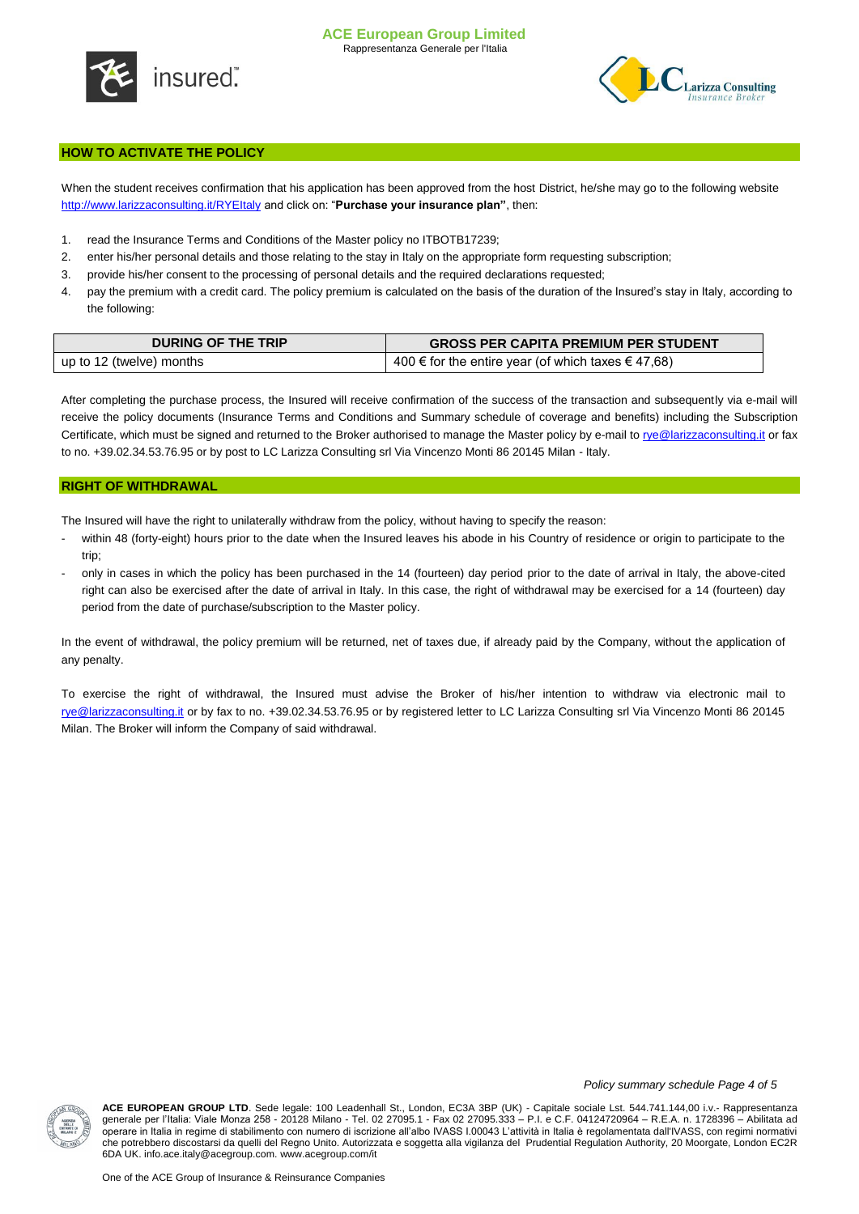



## **HOW TO ACTIVATE THE POLICY**

When the student receives confirmation that his application has been approved from the host District, he/she may go to the following website <http://www.larizzaconsulting.it/RYEItaly> and click on: "**Purchase your insurance plan"**, then:

- 1. read the Insurance Terms and Conditions of the Master policy no ITBOTB17239;
- 2. enter his/her personal details and those relating to the stay in Italy on the appropriate form requesting subscription;
- 3. provide his/her consent to the processing of personal details and the required declarations requested;
- 4. pay the premium with a credit card. The policy premium is calculated on the basis of the duration of the Insured's stay in Italy, according to the following:

| <b>DURING OF THE TRIP</b> | <b>GROSS PER CAPITA PREMIUM PER STUDENT</b>            |  |
|---------------------------|--------------------------------------------------------|--|
| up to 12 (twelve) months  | 400 € for the entire year (of which taxes $\in$ 47,68) |  |

After completing the purchase process, the Insured will receive confirmation of the success of the transaction and subsequently via e-mail will receive the policy documents (Insurance Terms and Conditions and Summary schedule of coverage and benefits) including the Subscription Certificate, which must be signed and returned to the Broker authorised to manage the Master policy by e-mail t[o rye@larizzaconsulting.it](mailto:rye@larizzaconsulting.it) or fax to no. +39.02.34.53.76.95 or by post to LC Larizza Consulting srl Via Vincenzo Monti 86 20145 Milan - Italy.

### **RIGHT OF WITHDRAWAL**

The Insured will have the right to unilaterally withdraw from the policy, without having to specify the reason:

- within 48 (forty-eight) hours prior to the date when the Insured leaves his abode in his Country of residence or origin to participate to the trip;
- only in cases in which the policy has been purchased in the 14 (fourteen) day period prior to the date of arrival in Italy, the above-cited right can also be exercised after the date of arrival in Italy. In this case, the right of withdrawal may be exercised for a 14 (fourteen) day period from the date of purchase/subscription to the Master policy.

In the event of withdrawal, the policy premium will be returned, net of taxes due, if already paid by the Company, without the application of any penalty.

To exercise the right of withdrawal, the Insured must advise the Broker of his/her intention to withdraw via electronic mail to [rye@larizzaconsulting.it](mailto:rye@larizzaconsulting.it) or by fax to no. +39.02.34.53.76.95 or by registered letter to LC Larizza Consulting srl Via Vincenzo Monti 86 20145 Milan. The Broker will inform the Company of said withdrawal.